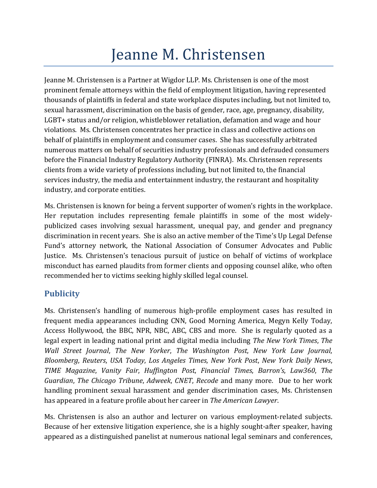# Jeanne M. Christensen

Jeanne M. Christensen is a Partner at Wigdor LLP. Ms. Christensen is one of the most prominent female attorneys within the field of employment litigation, having represented thousands of plaintiffs in federal and state workplace disputes including, but not limited to, sexual harassment, discrimination on the basis of gender, race, age, pregnancy, disability, LGBT+ status and/or religion, whistleblower retaliation, defamation and wage and hour violations. Ms. Christensen concentrates her practice in class and collective actions on behalf of plaintiffs in employment and consumer cases. She has successfully arbitrated numerous matters on behalf of securities industry professionals and defrauded consumers before the Financial Industry Regulatory Authority (FINRA). Ms. Christensen represents clients from a wide variety of professions including, but not limited to, the financial services industry, the media and entertainment industry, the restaurant and hospitality industry, and corporate entities.

Ms. Christensen is known for being a fervent supporter of women's rights in the workplace. Her reputation includes representing female plaintiffs in some of the most widelypublicized cases involving sexual harassment, unequal pay, and gender and pregnancy discrimination in recent years. She is also an active member of the Time's Up Legal Defense Fund's attorney network, the National Association of Consumer Advocates and Public Justice. Ms. Christensen's tenacious pursuit of justice on behalf of victims of workplace misconduct has earned plaudits from former clients and opposing counsel alike, who often recommended her to victims seeking highly skilled legal counsel.

### **Publicity**

Ms. Christensen's handling of numerous high-profile employment cases has resulted in frequent media appearances including CNN, Good Morning America, Megyn Kelly Today, Access Hollywood, the BBC, NPR, NBC, ABC, CBS and more. She is regularly quoted as a legal expert in leading national print and digital media including *The New York Times*, *The Wall Street Journal*, *The New Yorker*, *The Washington Post*, *New York Law Journal*, *Bloomberg*, *Reuters*, *USA Today*, *Los Angeles Times*, *New York Post*, *New York Daily News*, *TIME Magazine*, *Vanity Fair*, *Huffington Post*, *Financial Times*, *Barron's*, *Law360*, *The Guardian, The Chicago Tribune, Adweek, CNET, Recode* and many more. Due to her work handling prominent sexual harassment and gender discrimination cases, Ms. Christensen has appeared in a feature profile about her career in *The American Lawyer*.

Ms. Christensen is also an author and lecturer on various employment-related subjects. Because of her extensive litigation experience, she is a highly sought-after speaker, having appeared as a distinguished panelist at numerous national legal seminars and conferences,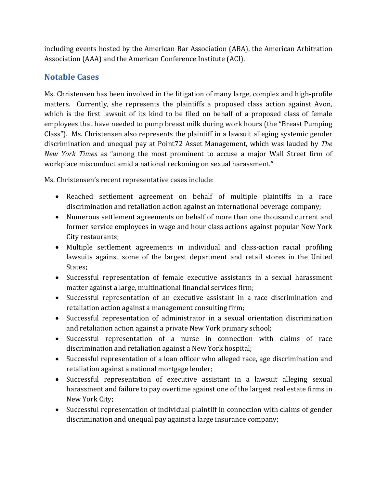including events hosted by the American Bar Association (ABA), the American Arbitration Association (AAA) and the American Conference Institute (ACI).

## **Notable Cases**

Ms. Christensen has been involved in the litigation of many large, complex and high-profile matters. Currently, she represents the plaintiffs a proposed class action against Avon, which is the first lawsuit of its kind to be filed on behalf of a proposed class of female employees that have needed to pump breast milk during work hours (the "Breast Pumping Class"). Ms. Christensen also represents the plaintiff in a lawsuit alleging systemic gender discrimination and unequal pay at Point72 Asset Management, which was lauded by *The New York Times* as "among the most prominent to accuse a major Wall Street firm of workplace misconduct amid a national reckoning on sexual harassment."

Ms. Christensen's recent representative cases include:

- Reached settlement agreement on behalf of multiple plaintiffs in a race discrimination and retaliation action against an international beverage company;
- Numerous settlement agreements on behalf of more than one thousand current and former service employees in wage and hour class actions against popular New York City restaurants;
- Multiple settlement agreements in individual and class-action racial profiling lawsuits against some of the largest department and retail stores in the United States;
- Successful representation of female executive assistants in a sexual harassment matter against a large, multinational financial services firm;
- Successful representation of an executive assistant in a race discrimination and retaliation action against a management consulting firm;
- Successful representation of administrator in a sexual orientation discrimination and retaliation action against a private New York primary school;
- Successful representation of a nurse in connection with claims of race discrimination and retaliation against a New York hospital;
- Successful representation of a loan officer who alleged race, age discrimination and retaliation against a national mortgage lender;
- Successful representation of executive assistant in a lawsuit alleging sexual harassment and failure to pay overtime against one of the largest real estate firms in New York City;
- Successful representation of individual plaintiff in connection with claims of gender discrimination and unequal pay against a large insurance company;